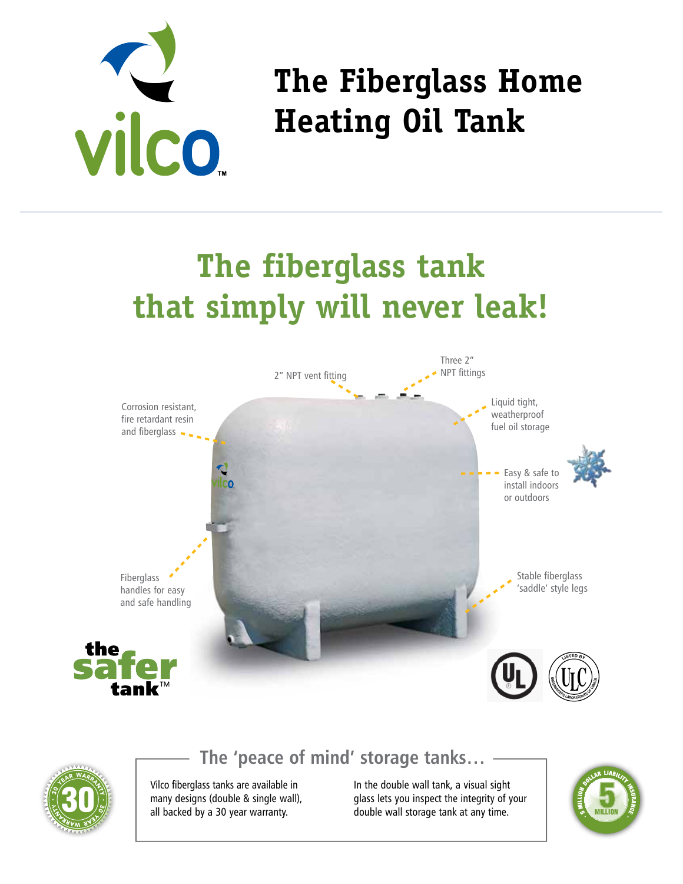

# **The Fiberglass Home Heating Oil Tank**

# **The fiberglass tank that simply will never leak!**





## **The 'peace of mind' storage tanks…**

Vilco fiberglass tanks are available in many designs (double & single wall), all backed by a 30 year warranty.

In the double wall tank, a visual sight glass lets you inspect the integrity of your double wall storage tank at any time.